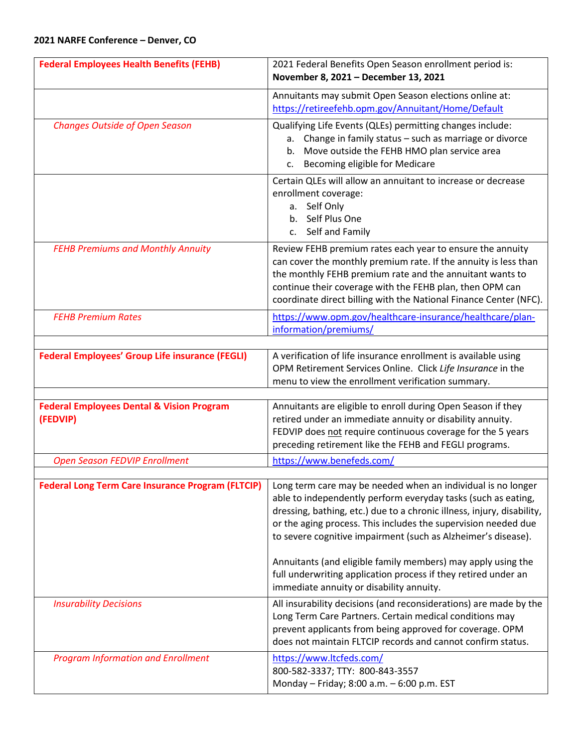| <b>Federal Employees Health Benefits (FEHB)</b>                  | 2021 Federal Benefits Open Season enrollment period is:<br>November 8, 2021 - December 13, 2021                                                                                                                                                                                                                                            |
|------------------------------------------------------------------|--------------------------------------------------------------------------------------------------------------------------------------------------------------------------------------------------------------------------------------------------------------------------------------------------------------------------------------------|
|                                                                  | Annuitants may submit Open Season elections online at:<br>https://retireefehb.opm.gov/Annuitant/Home/Default                                                                                                                                                                                                                               |
| <b>Changes Outside of Open Season</b>                            | Qualifying Life Events (QLEs) permitting changes include:<br>Change in family status - such as marriage or divorce<br>а.<br>b. Move outside the FEHB HMO plan service area<br>c. Becoming eligible for Medicare                                                                                                                            |
|                                                                  | Certain QLEs will allow an annuitant to increase or decrease<br>enrollment coverage:<br>Self Only<br>а.<br>b. Self Plus One<br>c. Self and Family                                                                                                                                                                                          |
| <b>FEHB Premiums and Monthly Annuity</b>                         | Review FEHB premium rates each year to ensure the annuity<br>can cover the monthly premium rate. If the annuity is less than<br>the monthly FEHB premium rate and the annuitant wants to<br>continue their coverage with the FEHB plan, then OPM can<br>coordinate direct billing with the National Finance Center (NFC).                  |
| <b>FEHB Premium Rates</b>                                        | https://www.opm.gov/healthcare-insurance/healthcare/plan-<br>information/premiums/                                                                                                                                                                                                                                                         |
| <b>Federal Employees' Group Life insurance (FEGLI)</b>           | A verification of life insurance enrollment is available using<br>OPM Retirement Services Online. Click Life Insurance in the<br>menu to view the enrollment verification summary.                                                                                                                                                         |
| <b>Federal Employees Dental &amp; Vision Program</b><br>(FEDVIP) | Annuitants are eligible to enroll during Open Season if they<br>retired under an immediate annuity or disability annuity.<br>FEDVIP does not require continuous coverage for the 5 years<br>preceding retirement like the FEHB and FEGLI programs.                                                                                         |
| <b>Open Season FEDVIP Enrollment</b>                             | https://www.benefeds.com/                                                                                                                                                                                                                                                                                                                  |
| <b>Federal Long Term Care Insurance Program (FLTCIP)</b>         | Long term care may be needed when an individual is no longer<br>able to independently perform everyday tasks (such as eating,<br>dressing, bathing, etc.) due to a chronic illness, injury, disability,<br>or the aging process. This includes the supervision needed due<br>to severe cognitive impairment (such as Alzheimer's disease). |
|                                                                  | Annuitants (and eligible family members) may apply using the<br>full underwriting application process if they retired under an<br>immediate annuity or disability annuity.                                                                                                                                                                 |
| <b>Insurability Decisions</b>                                    | All insurability decisions (and reconsiderations) are made by the<br>Long Term Care Partners. Certain medical conditions may<br>prevent applicants from being approved for coverage. OPM<br>does not maintain FLTCIP records and cannot confirm status.                                                                                    |
| <b>Program Information and Enrollment</b>                        | https://www.ltcfeds.com/<br>800-582-3337; TTY: 800-843-3557<br>Monday - Friday; 8:00 a.m. - 6:00 p.m. EST                                                                                                                                                                                                                                  |